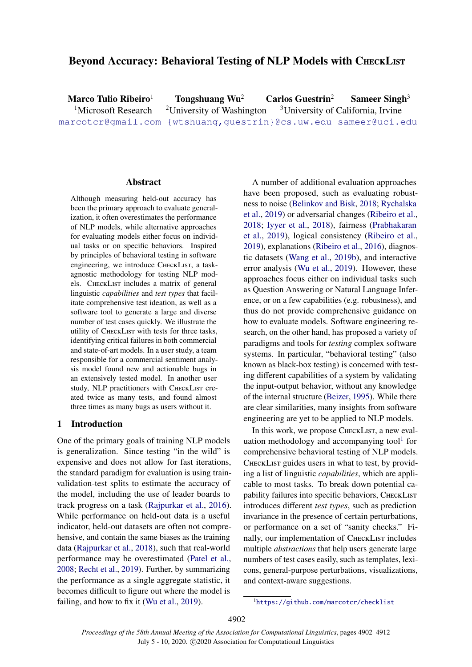# Beyond Accuracy: Behavioral Testing of NLP Models with CHECKLIST

Marco Tulio Ribeiro<sup>1</sup> Tongshuang Wu<sup>2</sup> Carlos Guestrin<sup>2</sup> Sameer Singh<sup>3</sup> <sup>1</sup>Microsoft Research <sup>2</sup>University of Washington <sup>3</sup>University of California, Irvine [marcotcr@gmail.com](mailto:marcotcr@microsoft.com) [{wtshuang,guestrin}@cs.uw.edu](mailto:wtshuang@cs.uw.edu) [sameer@uci.edu](mailto:sameer@uci.edu)

# Abstract

Although measuring held-out accuracy has been the primary approach to evaluate generalization, it often overestimates the performance of NLP models, while alternative approaches for evaluating models either focus on individual tasks or on specific behaviors. Inspired by principles of behavioral testing in software engineering, we introduce CHECKLIST, a taskagnostic methodology for testing NLP models. CHECKLIST includes a matrix of general linguistic *capabilities* and *test types* that facilitate comprehensive test ideation, as well as a software tool to generate a large and diverse number of test cases quickly. We illustrate the utility of CHECKLIST with tests for three tasks, identifying critical failures in both commercial and state-of-art models. In a user study, a team responsible for a commercial sentiment analysis model found new and actionable bugs in an extensively tested model. In another user study, NLP practitioners with CHECKLIST created twice as many tests, and found almost three times as many bugs as users without it.

# 1 Introduction

One of the primary goals of training NLP models is generalization. Since testing "in the wild" is expensive and does not allow for fast iterations, the standard paradigm for evaluation is using trainvalidation-test splits to estimate the accuracy of the model, including the use of leader boards to track progress on a task [\(Rajpurkar et al.,](#page-9-0) [2016\)](#page-9-0). While performance on held-out data is a useful indicator, held-out datasets are often not comprehensive, and contain the same biases as the training data [\(Rajpurkar et al.,](#page-9-1) [2018\)](#page-9-1), such that real-world performance may be overestimated [\(Patel et al.,](#page-9-2) [2008;](#page-9-2) [Recht et al.,](#page-9-3) [2019\)](#page-9-3). Further, by summarizing the performance as a single aggregate statistic, it becomes difficult to figure out where the model is failing, and how to fix it [\(Wu et al.,](#page-10-0) [2019\)](#page-10-0).

A number of additional evaluation approaches have been proposed, such as evaluating robustness to noise [\(Belinkov and Bisk,](#page-9-4) [2018;](#page-9-4) [Rychalska](#page-9-5) [et al.,](#page-9-5) [2019\)](#page-9-5) or adversarial changes [\(Ribeiro et al.,](#page-9-6) [2018;](#page-9-6) [Iyyer et al.,](#page-9-7) [2018\)](#page-9-7), fairness [\(Prabhakaran](#page-9-8) [et al.,](#page-9-8) [2019\)](#page-9-8), logical consistency [\(Ribeiro et al.,](#page-9-9) [2019\)](#page-9-9), explanations [\(Ribeiro et al.,](#page-9-10) [2016\)](#page-9-10), diagnostic datasets [\(Wang et al.,](#page-10-1) [2019b\)](#page-10-1), and interactive error analysis [\(Wu et al.,](#page-10-0) [2019\)](#page-10-0). However, these approaches focus either on individual tasks such as Question Answering or Natural Language Inference, or on a few capabilities (e.g. robustness), and thus do not provide comprehensive guidance on how to evaluate models. Software engineering research, on the other hand, has proposed a variety of paradigms and tools for *testing* complex software systems. In particular, "behavioral testing" (also known as black-box testing) is concerned with testing different capabilities of a system by validating the input-output behavior, without any knowledge of the internal structure [\(Beizer,](#page-9-11) [1995\)](#page-9-11). While there are clear similarities, many insights from software engineering are yet to be applied to NLP models.

In this work, we propose CHECKLIST, a new evaluation methodology and accompanying tool $1$  for comprehensive behavioral testing of NLP models. CHECKLIST guides users in what to test, by providing a list of linguistic *capabilities*, which are applicable to most tasks. To break down potential capability failures into specific behaviors, CHECKLIST introduces different *test types*, such as prediction invariance in the presence of certain perturbations, or performance on a set of "sanity checks." Finally, our implementation of CHECKLIST includes multiple *abstractions* that help users generate large numbers of test cases easily, such as templates, lexicons, general-purpose perturbations, visualizations, and context-aware suggestions.

<span id="page-0-0"></span><sup>1</sup><https://github.com/marcotcr/checklist>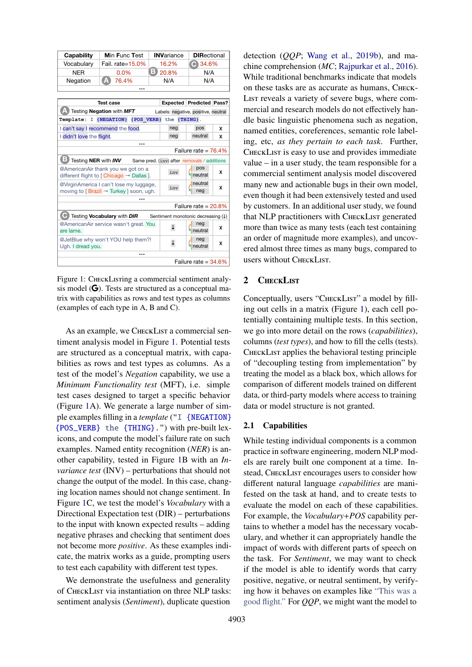<span id="page-1-0"></span>

| Capability | <b>Min Func Test</b> | <b>INVariance</b> | <b>DIRectional</b> |
|------------|----------------------|-------------------|--------------------|
| Vocabulary | Fail. rate=15.0%     | 16.2%             | $\bigodot$ 34.6%   |
| <b>NFR</b> | $0.0\%$              | 20.8%             | N/A                |
| Negation   | <b>A</b> 76.4%       | N/A               | N/A                |
|            |                      |                   |                    |

| <b>Test case</b>                                                                               |     | <b>Expected Predicted Pass?</b>     |   |  |  |  |  |
|------------------------------------------------------------------------------------------------|-----|-------------------------------------|---|--|--|--|--|
| Testing Negation with MFT                                                                      |     | Labels: negative, positive, neutral |   |  |  |  |  |
| Template: I {NEGATION} {POS VERB} the {THING}.                                                 |     |                                     |   |  |  |  |  |
| I can't say I recommend the food.                                                              | neg | pos                                 | x |  |  |  |  |
| I didn't love the flight.                                                                      | neg | neutral                             | x |  |  |  |  |
| <br>Failure rate = $76.4\%$                                                                    |     |                                     |   |  |  |  |  |
| Testing NER with INV<br>Same pred. (inv) after removals / additions                            |     |                                     |   |  |  |  |  |
| @AmericanAir thank you we got on a<br>different flight to [Chicago → Dallas].                  | inv | pos<br>neutral                      | x |  |  |  |  |
| @VirginAmerica I can't lose my luggage,<br>moving to [Brazil $\rightarrow$ Turkey ] soon, ugh. | inv | neutral<br>neg                      | x |  |  |  |  |
|                                                                                                |     |                                     |   |  |  |  |  |
| Failure rate = $20.8\%$                                                                        |     |                                     |   |  |  |  |  |
| Testing Vocabulary with DIR<br>Sentiment monotonic decreasing (1)                              |     |                                     |   |  |  |  |  |
| @AmericanAir service wasn't great. You<br>are lame.                                            |     | neg<br>neutral                      | x |  |  |  |  |
| @JetBlue why won't YOU help them?!<br>Ugh. I dread you.                                        |     | neg<br>neutral                      | x |  |  |  |  |
|                                                                                                |     |                                     |   |  |  |  |  |
| Failure rate = $34.6\%$                                                                        |     |                                     |   |  |  |  |  |

Figure 1: CHECKLISTIng a commercial sentiment analysis model  $\left(\bigcirc\right)$ . Tests are structured as a conceptual matrix with capabilities as rows and test types as columns (examples of each type in A, B and C).

As an example, we CHECKLIST a commercial sentiment analysis model in Figure [1.](#page-1-0) Potential tests are structured as a conceptual matrix, with capabilities as rows and test types as columns. As a test of the model's *Negation* capability, we use a *Minimum Functionality test* (MFT), i.e. simple test cases designed to target a specific behavior (Figure [1A](#page-1-0)). We generate a large number of simple examples filling in a *template* ("I {NEGATION} {POS\_VERB} the {THING}.") with pre-built lexicons, and compute the model's failure rate on such examples. Named entity recognition (*NER*) is another capability, tested in Figure [1B](#page-1-0) with an *Invariance test* (INV) – perturbations that should not change the output of the model. In this case, changing location names should not change sentiment. In Figure [1C](#page-1-0), we test the model's *Vocabulary* with a Directional Expectation test (DIR) – perturbations to the input with known expected results – adding negative phrases and checking that sentiment does not become more *positive*. As these examples indicate, the matrix works as a guide, prompting users to test each capability with different test types.

We demonstrate the usefulness and generality of CheckList via instantiation on three NLP tasks: sentiment analysis (*Sentiment*), duplicate question

detection (*QQP*; [Wang et al.,](#page-10-1) [2019b\)](#page-10-1), and machine comprehension (*MC*; [Rajpurkar et al.,](#page-9-0) [2016\)](#page-9-0). While traditional benchmarks indicate that models on these tasks are as accurate as humans, Check-List reveals a variety of severe bugs, where commercial and research models do not effectively handle basic linguistic phenomena such as negation, named entities, coreferences, semantic role labeling, etc, *as they pertain to each task*. Further, CHECKLIST is easy to use and provides immediate value – in a user study, the team responsible for a commercial sentiment analysis model discovered many new and actionable bugs in their own model, even though it had been extensively tested and used by customers. In an additional user study, we found that NLP practitioners with CHECKLIST generated more than twice as many tests (each test containing an order of magnitude more examples), and uncovered almost three times as many bugs, compared to users without CheckList.

# 2 CHECKLIST

Conceptually, users "CHECKLIST" a model by filling out cells in a matrix (Figure [1\)](#page-1-0), each cell potentially containing multiple tests. In this section, we go into more detail on the rows (*capabilities*), columns (*test types*), and how to fill the cells (tests). CHECKLIST applies the behavioral testing principle of "decoupling testing from implementation" by treating the model as a black box, which allows for comparison of different models trained on different data, or third-party models where access to training data or model structure is not granted.

#### <span id="page-1-1"></span>2.1 Capabilities

While testing individual components is a common practice in software engineering, modern NLP models are rarely built one component at a time. Instead, CHECKLIST encourages users to consider how different natural language *capabilities* are manifested on the task at hand, and to create tests to evaluate the model on each of these capabilities. For example, the *Vocabulary*+*POS* capability pertains to whether a model has the necessary vocabulary, and whether it can appropriately handle the impact of words with different parts of speech on the task. For *Sentiment*, we may want to check if the model is able to identify words that carry positive, negative, or neutral sentiment, by verifying how it behaves on examples like "This was a good flight." For *QQP*, we might want the model to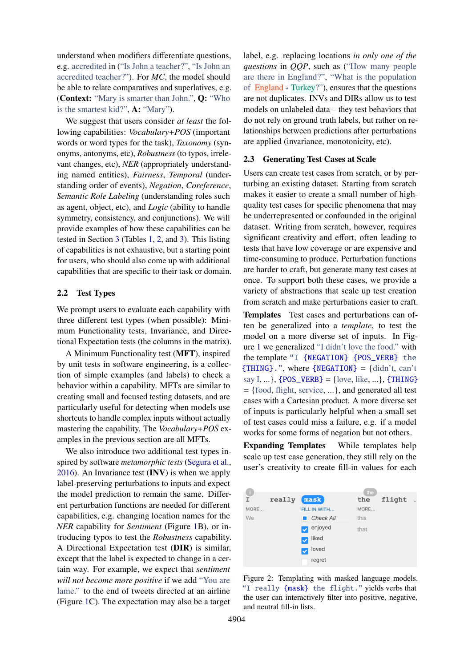understand when modifiers differentiate questions, e.g. accredited in ("Is John a teacher?", "Is John an accredited teacher?"). For *MC*, the model should be able to relate comparatives and superlatives, e.g. (Context: "Mary is smarter than John.", Q: "Who is the smartest kid?", A: "Mary").

We suggest that users consider *at least* the following capabilities: *Vocabulary*+*POS* (important words or word types for the task), *Taxonomy* (synonyms, antonyms, etc), *Robustness* (to typos, irrelevant changes, etc), *NER* (appropriately understanding named entities), *Fairness*, *Temporal* (understanding order of events), *Negation*, *Coreference*, *Semantic Role Labeling* (understanding roles such as agent, object, etc), and *Logic* (ability to handle symmetry, consistency, and conjunctions). We will provide examples of how these capabilities can be tested in Section [3](#page-3-0) (Tables [1,](#page-3-1) [2,](#page-4-0) and [3\)](#page-5-0). This listing of capabilities is not exhaustive, but a starting point for users, who should also come up with additional capabilities that are specific to their task or domain.

## 2.2 Test Types

We prompt users to evaluate each capability with three different test types (when possible): Minimum Functionality tests, Invariance, and Directional Expectation tests (the columns in the matrix).

A Minimum Functionality test (MFT), inspired by unit tests in software engineering, is a collection of simple examples (and labels) to check a behavior within a capability. MFTs are similar to creating small and focused testing datasets, and are particularly useful for detecting when models use shortcuts to handle complex inputs without actually mastering the capability. The *Vocabulary*+*POS* examples in the previous section are all MFTs.

We also introduce two additional test types inspired by software *metamorphic tests* [\(Segura et al.,](#page-9-12) [2016\)](#page-9-12). An Invariance test  $(INV)$  is when we apply label-preserving perturbations to inputs and expect the model prediction to remain the same. Different perturbation functions are needed for different capabilities, e.g. changing location names for the *NER* capability for *Sentiment* (Figure [1B](#page-1-0)), or introducing typos to test the *Robustness* capability. A Directional Expectation test (DIR) is similar, except that the label is expected to change in a certain way. For example, we expect that *sentiment will not become more positive* if we add "You are lame." to the end of tweets directed at an airline (Figure [1C](#page-1-0)). The expectation may also be a target

label, e.g. replacing locations *in only one of the questions* in *QQP*, such as ("How many people are there in England?", "What is the population of  $Englished \rightarrow Turkey$ ?"), ensures that the questions are not duplicates. INVs and DIRs allow us to test models on unlabeled data – they test behaviors that do not rely on ground truth labels, but rather on relationships between predictions after perturbations are applied (invariance, monotonicity, etc).

### <span id="page-2-1"></span>2.3 Generating Test Cases at Scale

Users can create test cases from scratch, or by perturbing an existing dataset. Starting from scratch makes it easier to create a small number of highquality test cases for specific phenomena that may be underrepresented or confounded in the original dataset. Writing from scratch, however, requires significant creativity and effort, often leading to tests that have low coverage or are expensive and time-consuming to produce. Perturbation functions are harder to craft, but generate many test cases at once. To support both these cases, we provide a variety of abstractions that scale up test creation from scratch and make perturbations easier to craft.

Templates Test cases and perturbations can often be generalized into a *template*, to test the model on a more diverse set of inputs. In Figure [1](#page-1-0) we generalized "I didn't love the food." with the template "I {NEGATION} {POS\_VERB} the  ${THING}$ .", where  ${NEGATION} = {didn't, can't}$ say I, ...},  ${POS_VERB} = {love, like, ...\}$ ,  ${THING}$ = {food, flight, service, ...}, and generated all test cases with a Cartesian product. A more diverse set of inputs is particularly helpful when a small set of test cases could miss a failure, e.g. if a model works for some forms of negation but not others.

Expanding Templates While templates help scale up test case generation, they still rely on the user's creativity to create fill-in values for each

<span id="page-2-0"></span>

Figure 2: Templating with masked language models. "I really {mask} the flight." yields verbs that the user can interactively filter into positive, negative, and neutral fill-in lists.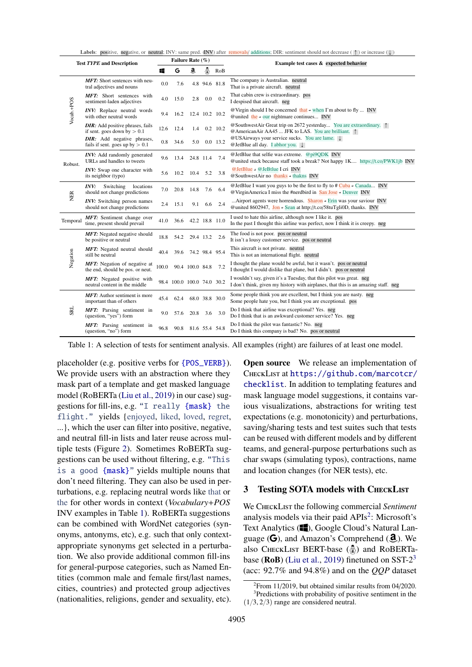Labels: positive, negative, or neutral; INV: same pred. (INV) after removals/ additions; DIR: sentiment should not decrease ( $\uparrow$ ) or increase ( $\downarrow$ )

<span id="page-3-1"></span>

| <b>Test TYPE and Description</b> |                                                                          | Failure Rate (%) |                            |                 |                |                | Example test cases & expected behavior                                                                                                                            |  |
|----------------------------------|--------------------------------------------------------------------------|------------------|----------------------------|-----------------|----------------|----------------|-------------------------------------------------------------------------------------------------------------------------------------------------------------------|--|
|                                  |                                                                          | ĸ                | G                          | a               | ē              | RoB            |                                                                                                                                                                   |  |
|                                  | <b>MFT:</b> Short sentences with neu-<br>tral adjectives and nouns       | 0.0              | 7.6                        |                 |                | 4.8 94.6 81.8  | The company is Australian. neutral<br>That is a private aircraft. neutral                                                                                         |  |
| Vocab.+POS                       | <b>MFT:</b> Short sentences with<br>sentiment-laden adjectives           | 4.0              | 15.0                       | 2.8             | 0.0            | 0.2            | That cabin crew is extraordinary. pos<br>I despised that aircraft. neg                                                                                            |  |
|                                  | INV: Replace neutral words<br>with other neutral words                   | 9.4              | 16.2                       |                 |                | 12.4 10.2 10.2 | @ Virgin should I be concerned that $\rightarrow$ when I'm about to fly  INV<br>@united the $\rightarrow$ our nightmare continues INV                             |  |
|                                  | <b>DIR:</b> Add positive phrases, fails<br>if sent. goes down by $> 0.1$ | 12.6             | 12.4                       | 1.4             |                | $0.2$ 10.2     | @ SouthwestAir Great trip on 2672 yesterday You are extraordinary.<br>@AmericanAir AA45  JFK to LAS. You are brilliant. 1                                         |  |
|                                  | <b>DIR:</b> Add negative phrases,<br>fails if sent. goes up by $> 0.1$   | 0.8              | 34.6                       | 5.0             |                | $0.0$ 13.2     | @USAirways your service sucks. You are lame.<br>@ JetBlue all day. I abhor you. $\downarrow$                                                                      |  |
| Robust.                          | <b>INV:</b> Add randomly generated<br>URLs and handles to tweets         | 9.6              | 13.4                       |                 | 24.8 11.4      | 7.4            | @JetBlue that selfie was extreme. @pi9QDK INV<br>@united stuck because staff took a break? Not happy 1K https://t.co/PWK1jb INV                                   |  |
|                                  | INV: Swap one character with<br>its neighbor (typo)                      | 5.6              | 10.2                       |                 | $10.4$ 5.2     | 3.8            | @JetBlue → @JeBtlue I cri INV<br>@ SouthwestAir no thanks $\rightarrow$ thakns INV                                                                                |  |
| <b>NER</b>                       | INV:<br>Switching<br>locations<br>should not change predictions          | 7.0              | 20.8                       | 14.8            | 7.6            | 6.4            | @ JetBlue I want you guys to be the first to fly to $\#$ Cuba $\rightarrow$ Canada INV<br>$@VirginAmerica I miss the #nerdbird in San Jose + Denver INV$          |  |
|                                  | <b>INV:</b> Switching person names<br>should not change predictions      | 2.4              | 15.1                       | 9.1             | 6.6            | 2.4            | Airport agents were horrendous. Sharon $\rightarrow$ Erin was your saviour INV<br>@united 8602947, $Join \rightarrow Sean$ at http://t.co/58tuTgli0D, thanks. INV |  |
| Temporal                         | MFT: Sentiment change over<br>time, present should prevail               | 41.0             | 36.6                       |                 |                | 42.2 18.8 11.0 | I used to hate this airline, although now I like it. pos<br>In the past I thought this airline was perfect, now I think it is creepy. neg                         |  |
|                                  | <b>MFT:</b> Negated negative should<br>be positive or neutral            | 18.8             | 54.2                       |                 | 29.4 13.2      | 2.6            | The food is not poor. pos or neutral<br>It isn't a lousy customer service. pos or neutral                                                                         |  |
| Negation                         | MFT: Negated neutral should<br>still be neutral                          | 40.4             | 39.6                       |                 |                | 74.2 98.4 95.4 | This aircraft is not private. neutral<br>This is not an international flight. neutral                                                                             |  |
|                                  | MFT: Negation of negative at<br>the end, should be pos. or neut.         | 100.0            |                            | 90.4 100.0 84.8 |                | 7.2            | I thought the plane would be awful, but it wasn't. pos or neutral<br>I thought I would dislike that plane, but I didn't. pos or neutral                           |  |
|                                  | MFT: Negated positive with<br>neutral content in the middle              |                  | 98.4 100.0 100.0 74.0 30.2 |                 |                |                | I wouldn't say, given it's a Tuesday, that this pilot was great. neg<br>I don't think, given my history with airplanes, that this is an amazing staff. neg        |  |
|                                  | <b>MFT:</b> Author sentiment is more<br>important than of others         | 45.4             | 62.4                       |                 |                | 68.0 38.8 30.0 | Some people think you are excellent, but I think you are nasty. neg<br>Some people hate you, but I think you are exceptional. pos                                 |  |
| <b>SRL</b>                       | MFT: Parsing sentiment in<br>(question, "yes") form                      | 9.0              | 57.6                       | 20.8            | 3.6            | 3.0            | Do I think that airline was exceptional? Yes. neg<br>Do I think that is an awkward customer service? Yes. neg                                                     |  |
|                                  | MFT: Parsing sentiment in<br>(question, "no") form                       | 96.8             | 90.8                       |                 | 81.6 55.4 54.8 |                | Do I think the pilot was fantastic? No. neg<br>Do I think this company is bad? No. pos or neutral                                                                 |  |

Table 1: A selection of tests for sentiment analysis. All examples (right) are failures of at least one model.

placeholder (e.g. positive verbs for {POS\_VERB}). We provide users with an abstraction where they mask part of a template and get masked language model (RoBERTa [\(Liu et al.,](#page-9-13) [2019\)](#page-9-13) in our case) suggestions for fill-ins, e.g. "I really {mask} the flight." yields {enjoyed, liked, loved, regret, ...}, which the user can filter into positive, negative, and neutral fill-in lists and later reuse across multiple tests (Figure [2\)](#page-2-0). Sometimes RoBERTa suggestions can be used without filtering, e.g. "This is a good {mask}" yields multiple nouns that don't need filtering. They can also be used in perturbations, e.g. replacing neutral words like that or the for other words in context (*Vocabulary*+*POS* INV examples in Table [1\)](#page-3-1). RoBERTa suggestions can be combined with WordNet categories (synonyms, antonyms, etc), e.g. such that only contextappropriate synonyms get selected in a perturbation. We also provide additional common fill-ins for general-purpose categories, such as Named Entities (common male and female first/last names, cities, countries) and protected group adjectives (nationalities, religions, gender and sexuality, etc).

**Open source** We release an implementation of CheckList at [https://github.com/marcotcr/](https://github.com/marcotcr/checklist) [checklist](https://github.com/marcotcr/checklist). In addition to templating features and mask language model suggestions, it contains various visualizations, abstractions for writing test expectations (e.g. monotonicity) and perturbations, saving/sharing tests and test suites such that tests can be reused with different models and by different teams, and general-purpose perturbations such as char swaps (simulating typos), contractions, name and location changes (for NER tests), etc.

# <span id="page-3-0"></span>3 Testing SOTA models with CHECKLIST

We CHECKLIST the following commercial *Sentiment* analysis models via their paid APIs<sup>[2](#page-3-2)</sup>: Microsoft's Text Analytics ( $\Box$ ), Google Cloud's Natural Language  $(G)$ , and Amazon's Comprehend  $(\mathbf{d})$ . We also CHECKLIST BERT-base  $\left(\frac{\pi}{2}\right)$  and RoBERTabase ( $\text{RoB}$ ) [\(Liu et al.,](#page-9-13) [2019\)](#page-9-13) finetuned on SST-2<sup>[3](#page-3-3)</sup> (acc: 92.7% and 94.8%) and on the *QQP* dataset

<span id="page-3-3"></span><span id="page-3-2"></span><sup>2</sup>From 11/2019, but obtained similar results from 04/2020. <sup>3</sup>Predictions with probability of positive sentiment in the

 $(1/3, 2/3)$  range are considered neutral.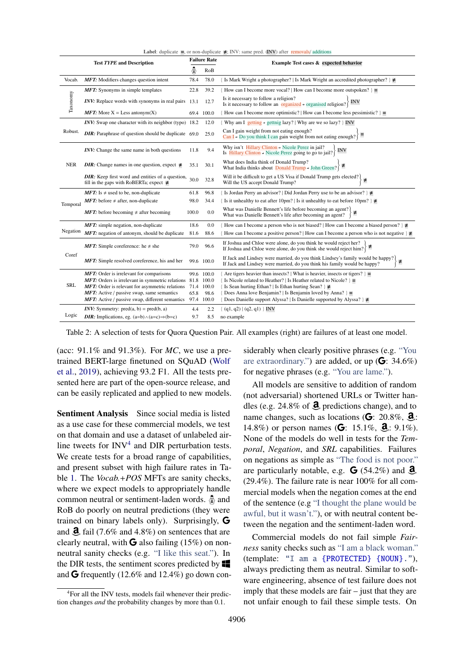<span id="page-4-0"></span>

| <b>Test TYPE and Description</b><br>Example Test cases & expected behavior<br>$\hat{\Phi}$<br>RoB<br>Is Mark Wright a photographer?   Is Mark Wright an accredited photographer? $\neq$<br><b>MFT:</b> Modifiers changes question intent<br>78.0<br>Vocab.<br>78.4<br>22.8<br>39.2<br><b>MFT:</b> Synonyms in simple templates<br>How can I become more vocal?   How can I become more outspoken? $\}$ =<br>Taxonomy<br>Is it necessary to follow a religion?<br>INV: Replace words with synonyms in real pairs 13.1<br>INV<br>12.7<br>Is it necessary to follow an organized $\rightarrow$ organised religion?<br><b>MFT:</b> More $X =$ Less antonym(X)<br>69.4 100.0<br>How can I become more optimistic?   How can I become less pessimistic? $\}$ =<br><b>INV:</b> Swap one character with its neighbor (typo) $18.2$<br>Why am I getting $\rightarrow$ getting lazy?   Why are we so lazy?   INV<br>12.0<br>Can I gain weight from not eating enough?<br>Robust.<br><b>DIR:</b> Paraphrase of question should be duplicate 69.0<br>25.0<br>Can I + Do you think I can gain weight from not eating enough? $\equiv$<br>Why isn't Hillary Clinton $\rightarrow$ Nicole Perez in jail?<br>INV: Change the same name in both questions<br>9.4<br>11.8<br><b>INV</b><br>Is Hillary Clinton $\rightarrow$ Nicole Perez going to go to jail?<br>What does India think of Donald Trump?<br><b>NER</b><br><b>DIR:</b> Change names in one question, expect $\neq$<br>30.1<br>35.1<br>What India thinks about Donald Trump $\rightarrow$ John Green?<br>Will it be difficult to get a US Visa if Donald Trump gets elected?)<br><b>DIR:</b> Keep first word and entities of a question,<br>30.0<br>$\neq$<br>32.8<br>Will the US accept Donald Trump?<br>fill in the gaps with RoBERTa; expect $\neq$<br>Is Jordan Perry an advisor?   Did Jordan Perry use to be an advisor?   $\neq$<br><b>MFT:</b> Is $\neq$ used to be, non-duplicate<br>96.8<br>61.8 |  |
|-------------------------------------------------------------------------------------------------------------------------------------------------------------------------------------------------------------------------------------------------------------------------------------------------------------------------------------------------------------------------------------------------------------------------------------------------------------------------------------------------------------------------------------------------------------------------------------------------------------------------------------------------------------------------------------------------------------------------------------------------------------------------------------------------------------------------------------------------------------------------------------------------------------------------------------------------------------------------------------------------------------------------------------------------------------------------------------------------------------------------------------------------------------------------------------------------------------------------------------------------------------------------------------------------------------------------------------------------------------------------------------------------------------------------------------------------------------------------------------------------------------------------------------------------------------------------------------------------------------------------------------------------------------------------------------------------------------------------------------------------------------------------------------------------------------------------------------------------------------------------------------------------------------------------------------------------------|--|
|                                                                                                                                                                                                                                                                                                                                                                                                                                                                                                                                                                                                                                                                                                                                                                                                                                                                                                                                                                                                                                                                                                                                                                                                                                                                                                                                                                                                                                                                                                                                                                                                                                                                                                                                                                                                                                                                                                                                                       |  |
|                                                                                                                                                                                                                                                                                                                                                                                                                                                                                                                                                                                                                                                                                                                                                                                                                                                                                                                                                                                                                                                                                                                                                                                                                                                                                                                                                                                                                                                                                                                                                                                                                                                                                                                                                                                                                                                                                                                                                       |  |
|                                                                                                                                                                                                                                                                                                                                                                                                                                                                                                                                                                                                                                                                                                                                                                                                                                                                                                                                                                                                                                                                                                                                                                                                                                                                                                                                                                                                                                                                                                                                                                                                                                                                                                                                                                                                                                                                                                                                                       |  |
|                                                                                                                                                                                                                                                                                                                                                                                                                                                                                                                                                                                                                                                                                                                                                                                                                                                                                                                                                                                                                                                                                                                                                                                                                                                                                                                                                                                                                                                                                                                                                                                                                                                                                                                                                                                                                                                                                                                                                       |  |
|                                                                                                                                                                                                                                                                                                                                                                                                                                                                                                                                                                                                                                                                                                                                                                                                                                                                                                                                                                                                                                                                                                                                                                                                                                                                                                                                                                                                                                                                                                                                                                                                                                                                                                                                                                                                                                                                                                                                                       |  |
|                                                                                                                                                                                                                                                                                                                                                                                                                                                                                                                                                                                                                                                                                                                                                                                                                                                                                                                                                                                                                                                                                                                                                                                                                                                                                                                                                                                                                                                                                                                                                                                                                                                                                                                                                                                                                                                                                                                                                       |  |
|                                                                                                                                                                                                                                                                                                                                                                                                                                                                                                                                                                                                                                                                                                                                                                                                                                                                                                                                                                                                                                                                                                                                                                                                                                                                                                                                                                                                                                                                                                                                                                                                                                                                                                                                                                                                                                                                                                                                                       |  |
|                                                                                                                                                                                                                                                                                                                                                                                                                                                                                                                                                                                                                                                                                                                                                                                                                                                                                                                                                                                                                                                                                                                                                                                                                                                                                                                                                                                                                                                                                                                                                                                                                                                                                                                                                                                                                                                                                                                                                       |  |
|                                                                                                                                                                                                                                                                                                                                                                                                                                                                                                                                                                                                                                                                                                                                                                                                                                                                                                                                                                                                                                                                                                                                                                                                                                                                                                                                                                                                                                                                                                                                                                                                                                                                                                                                                                                                                                                                                                                                                       |  |
|                                                                                                                                                                                                                                                                                                                                                                                                                                                                                                                                                                                                                                                                                                                                                                                                                                                                                                                                                                                                                                                                                                                                                                                                                                                                                                                                                                                                                                                                                                                                                                                                                                                                                                                                                                                                                                                                                                                                                       |  |
|                                                                                                                                                                                                                                                                                                                                                                                                                                                                                                                                                                                                                                                                                                                                                                                                                                                                                                                                                                                                                                                                                                                                                                                                                                                                                                                                                                                                                                                                                                                                                                                                                                                                                                                                                                                                                                                                                                                                                       |  |
| 34.4<br>Is it unhealthy to eat after 10pm?   Is it unhealthy to eat before 10pm?   $\neq$<br><b>MFT:</b> before $\neq$ after, non-duplicate<br>98.0<br>Temporal                                                                                                                                                                                                                                                                                                                                                                                                                                                                                                                                                                                                                                                                                                                                                                                                                                                                                                                                                                                                                                                                                                                                                                                                                                                                                                                                                                                                                                                                                                                                                                                                                                                                                                                                                                                       |  |
| What was Danielle Bennett's life before becoming an agent?<br><b>MFT:</b> before becoming $\neq$ after becoming<br>100.0<br>0.0<br>What was Danielle Bennett's life after becoming an agent?                                                                                                                                                                                                                                                                                                                                                                                                                                                                                                                                                                                                                                                                                                                                                                                                                                                                                                                                                                                                                                                                                                                                                                                                                                                                                                                                                                                                                                                                                                                                                                                                                                                                                                                                                          |  |
| 0.0<br><b>MFT:</b> simple negation, non-duplicate<br>18.6<br>How can I become a person who is not biased?   How can I become a biased person? $\neq$                                                                                                                                                                                                                                                                                                                                                                                                                                                                                                                                                                                                                                                                                                                                                                                                                                                                                                                                                                                                                                                                                                                                                                                                                                                                                                                                                                                                                                                                                                                                                                                                                                                                                                                                                                                                  |  |
| Negation<br>MFT: negation of antonym, should be duplicate<br>How can I become a positive person?   How can I become a person who is not negative $\geq$<br>88.6<br>81.6                                                                                                                                                                                                                                                                                                                                                                                                                                                                                                                                                                                                                                                                                                                                                                                                                                                                                                                                                                                                                                                                                                                                                                                                                                                                                                                                                                                                                                                                                                                                                                                                                                                                                                                                                                               |  |
| If Joshua and Chloe were alone, do you think he would reject her?<br>If Joshua and Choe were alone, do you think he would reject her? $\left\{\neq$ If Joshua and Chloe were alone, do you think she would reject him?<br>79.0<br>96.6<br><b>MFT:</b> Simple coreference: he $\neq$ she                                                                                                                                                                                                                                                                                                                                                                                                                                                                                                                                                                                                                                                                                                                                                                                                                                                                                                                                                                                                                                                                                                                                                                                                                                                                                                                                                                                                                                                                                                                                                                                                                                                               |  |
| Coref<br>If Jack and Lindsey were married, do you think Lindsey's family would be happy?<br><b>MFT:</b> Simple resolved coreference, his and her<br>99.6 100.0<br>If Jack and Lindsey were married, do you think his family would be happy?                                                                                                                                                                                                                                                                                                                                                                                                                                                                                                                                                                                                                                                                                                                                                                                                                                                                                                                                                                                                                                                                                                                                                                                                                                                                                                                                                                                                                                                                                                                                                                                                                                                                                                           |  |
| 99.6 100.0<br>Are tigers heavier than insects?   What is heavier, insects or tigers? $\rangle$ =<br><b>MFT:</b> Order is irrelevant for comparisons                                                                                                                                                                                                                                                                                                                                                                                                                                                                                                                                                                                                                                                                                                                                                                                                                                                                                                                                                                                                                                                                                                                                                                                                                                                                                                                                                                                                                                                                                                                                                                                                                                                                                                                                                                                                   |  |
| MFT: Orders is irrelevant in symmetric relations<br>Is Nicole related to Heather?   Is Heather related to Nicole? $\} \equiv$<br>81.8 100.0                                                                                                                                                                                                                                                                                                                                                                                                                                                                                                                                                                                                                                                                                                                                                                                                                                                                                                                                                                                                                                                                                                                                                                                                                                                                                                                                                                                                                                                                                                                                                                                                                                                                                                                                                                                                           |  |
| <b>SRL</b><br>MFT: Order is relevant for asymmetric relations<br>Is Sean hurting Ethan?   Is Ethan hurting Sean? $\} \neq$<br>71.4 100.0                                                                                                                                                                                                                                                                                                                                                                                                                                                                                                                                                                                                                                                                                                                                                                                                                                                                                                                                                                                                                                                                                                                                                                                                                                                                                                                                                                                                                                                                                                                                                                                                                                                                                                                                                                                                              |  |
| Does Anna love Benjamin?   Is Benjamin loved by Anna? $\} \equiv$<br>MFT: Active / passive swap, same semantics<br>65.8<br>98.6                                                                                                                                                                                                                                                                                                                                                                                                                                                                                                                                                                                                                                                                                                                                                                                                                                                                                                                                                                                                                                                                                                                                                                                                                                                                                                                                                                                                                                                                                                                                                                                                                                                                                                                                                                                                                       |  |
| <b>MFT:</b> Active / passive swap, different semantics<br>Does Danielle support Alyssa?   Is Danielle supported by Alyssa?   $\neq$<br>97.4 100.0                                                                                                                                                                                                                                                                                                                                                                                                                                                                                                                                                                                                                                                                                                                                                                                                                                                                                                                                                                                                                                                                                                                                                                                                                                                                                                                                                                                                                                                                                                                                                                                                                                                                                                                                                                                                     |  |
| <i>INV</i> : Symmetry: pred(a, b) = pred(b, a)<br>2.2<br>4.4<br>(q1, q2)   (q2, q1)   INV                                                                                                                                                                                                                                                                                                                                                                                                                                                                                                                                                                                                                                                                                                                                                                                                                                                                                                                                                                                                                                                                                                                                                                                                                                                                                                                                                                                                                                                                                                                                                                                                                                                                                                                                                                                                                                                             |  |
| Logic<br><b>DIR:</b> Implications, eg. $(a=b)\wedge(a=c) \Rightarrow (b=c)$<br>9.7<br>8.5<br>no example                                                                                                                                                                                                                                                                                                                                                                                                                                                                                                                                                                                                                                                                                                                                                                                                                                                                                                                                                                                                                                                                                                                                                                                                                                                                                                                                                                                                                                                                                                                                                                                                                                                                                                                                                                                                                                               |  |

**Label:** duplicate  $\equiv$ , or non-duplicate  $\neq$ ; INV: same pred. (INV) after removals/ addition

Table 2: A selection of tests for Quora Question Pair. All examples (right) are failures of at least one model.

(acc: 91.1% and 91.3%). For *MC*, we use a pretrained BERT-large finetuned on SQuAD [\(Wolf](#page-10-2) [et al.,](#page-10-2) [2019\)](#page-10-2), achieving 93.2 F1. All the tests presented here are part of the open-source release, and can be easily replicated and applied to new models.

Sentiment Analysis Since social media is listed as a use case for these commercial models, we test on that domain and use a dataset of unlabeled airline tweets for  $INV<sup>4</sup>$  $INV<sup>4</sup>$  $INV<sup>4</sup>$  and DIR perturbation tests. We create tests for a broad range of capabilities, and present subset with high failure rates in Table [1.](#page-3-1) The *Vocab.*+*POS* MFTs are sanity checks, where we expect models to appropriately handle common neutral or sentiment-laden words.  $\hat{\Phi}$  and RoB do poorly on neutral predictions (they were trained on binary labels only). Surprisingly, G and  $\mathbf{\hat{d}}$ , fail (7.6% and 4.8%) on sentences that are clearly neutral, with  $\bf{G}$  also failing (15%) on nonneutral sanity checks (e.g. "I like this seat."). In the DIR tests, the sentiment scores predicted by  $\blacksquare$ and  $\mathbf G$  frequently (12.6% and 12.4%) go down con-

siderably when clearly positive phrases (e.g. "You are extraordinary.") are added, or up  $(G: 34.6\%)$ for negative phrases (e.g. "You are lame.").

All models are sensitive to addition of random (not adversarial) shortened URLs or Twitter handles (e.g. 24.8% of  $\ddot{a}$ , predictions change), and to name changes, such as locations ( $\mathbf{G}$ : 20.8%,  $\mathbf{a}$ ): 14.8%) or person names (**G**: 15.1%, **d**<sub>:</sub> 9.1%). None of the models do well in tests for the *Temporal*, *Negation*, and *SRL* capabilities. Failures on negations as simple as "The food is not poor." are particularly notable, e.g.  $\bf{G}$  (54.2%) and  $\bf{d}$ , (29.4%). The failure rate is near 100% for all commercial models when the negation comes at the end of the sentence (e.g "I thought the plane would be awful, but it wasn't."), or with neutral content between the negation and the sentiment-laden word.

Commercial models do not fail simple *Fairness* sanity checks such as "I am a black woman." (template: "I am a {PROTECTED} {NOUN}."), always predicting them as neutral. Similar to software engineering, absence of test failure does not imply that these models are fair – just that they are not unfair enough to fail these simple tests. On

<span id="page-4-1"></span><sup>&</sup>lt;sup>4</sup>For all the INV tests, models fail whenever their prediction changes *and* the probability changes by more than 0.1.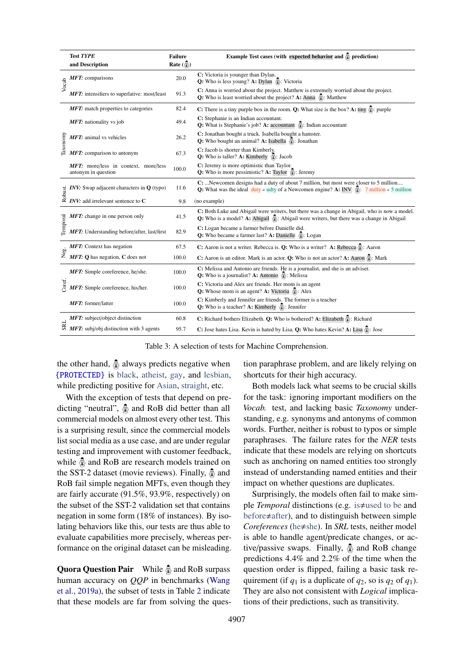<span id="page-5-0"></span>

|          | <b>Test TYPE</b><br>and Description                                                                                             | <b>Failure</b><br>Rate $\left(\frac{\pi}{20}\right)$ | Example Test cases (with expected behavior and $\ddot{Q}$ ) prediction)                                                                                                                               |  |  |
|----------|---------------------------------------------------------------------------------------------------------------------------------|------------------------------------------------------|-------------------------------------------------------------------------------------------------------------------------------------------------------------------------------------------------------|--|--|
| Vocab    | $MFT$ : comparisons                                                                                                             | 20.0                                                 | C: Victoria is younger than Dylan.<br><b>Q:</b> Who is less young? <b>A:</b> Dylan $\hat{\mathbb{Q}}$ : Victoria                                                                                      |  |  |
|          | MFT: intensifiers to superlative: most/least                                                                                    | 91.3                                                 | C: Anna is worried about the project. Matthew is extremely worried about the project.<br><b>Q:</b> Who is least worried about the project? A: $\overline{Anna} \quad \mathbb{Q}$ : Matthew            |  |  |
|          | MFT: match properties to categories                                                                                             | 82.4                                                 | <b>C:</b> There is a tiny purple box in the room. <b>Q:</b> What size is the box? A: tiny $\circled{x}$ : purple                                                                                      |  |  |
| Taxonomy | MFT: nationality vs job                                                                                                         | 49.4                                                 | C: Stephanie is an Indian accountant.<br><b>Q:</b> What is Stephanie's job? A: accountant $\hat{\Phi}$ : Indian accountant                                                                            |  |  |
|          | MFT: animal vs vehicles                                                                                                         | 26.2                                                 | C: Jonathan bought a truck. Isabella bought a hamster.<br>Q: Who bought an animal? A: Isabella $\mathcal{Q}$ : Jonathan                                                                               |  |  |
|          | $MFT$ : comparison to antonym                                                                                                   | 67.3                                                 | C: Jacob is shorter than Kimberly.<br><b>Q:</b> Who is taller? A: Kimberly $\hat{\mathbb{Q}}$ : Jacob                                                                                                 |  |  |
|          | MFT: more/less in context, more/less<br>antonym in question                                                                     | 100.0                                                | C: Jeremy is more optimistic than Taylor.<br><b>Q:</b> Who is more pessimistic? A: Taylor $\hat{\Phi}$ : Jeremy                                                                                       |  |  |
|          | <b><i>INV</i></b> : Swap adjacent characters in $Q$ (typo)                                                                      | 11.6                                                 | C: Newcomen designs had a duty of about 7 million, but most were closer to 5 million<br><b>Q:</b> What was the ideal duty + udty of a Newcomen engine? A: INV $\hat{x}$ : 7 million + 5 million       |  |  |
|          | $\frac{1}{2}$ <i>INV</i> : Swap adjacent characters in $\frac{1}{2}$<br>$\frac{1}{2}$ <i>INV</i> : add irrelevant sentence to C | 9.8                                                  | (no example)                                                                                                                                                                                          |  |  |
|          | MFT: change in one person only                                                                                                  | 41.5                                                 | C: Both Luke and Abigail were writers, but there was a change in Abigail, who is now a model.<br>Q: Who is a model? A: Abigail $\hat{\Phi}$ : Abigail were writers, but there was a change in Abigail |  |  |
| Temporal | <b>MFT:</b> Understanding before/after, last/first                                                                              | 82.9                                                 | C: Logan became a farmer before Danielle did.<br><b>Q:</b> Who became a farmer last? A: Danielle $\hat{\Phi}$ : Logan                                                                                 |  |  |
|          | <b>MFT:</b> Context has negation                                                                                                | 67.5                                                 | C: Aaron is not a writer. Rebecca is. Q: Who is a writer? A: Rebecca $\circled{2}$ : Aaron                                                                                                            |  |  |
|          | $\sum_{\substack{\omega \\ \mathbf{Z}}}^{\omega} \mathbf{MFT:}$ Q has negation, C does not                                      | 100.0                                                | C: Aaron is an editor. Mark is an actor. O: Who is not an actor? A: Aaron $\hat{\mathbb{Q}}$ : Mark                                                                                                   |  |  |
|          | MFT: Simple coreference, he/she.                                                                                                | 100.0                                                | C: Melissa and Antonio are friends. He is a journalist, and she is an adviser.<br><b>Q:</b> Who is a journalist? <b>A:</b> Antonio $\hat{\mathbb{Q}}$ : Melissa                                       |  |  |
| Coref.   | MFT: Simple coreference, his/her.                                                                                               | 100.0                                                | C: Victoria and Alex are friends. Her mom is an agent<br><b>Q:</b> Whose mom is an agent? <b>A:</b> Victoria $\hat{\mathbb{Q}}$ : Alex                                                                |  |  |
|          | MFT: former/latter                                                                                                              | 100.0                                                | C: Kimberly and Jennifer are friends. The former is a teacher<br><b>Q:</b> Who is a teacher? A: Kimberly $\hat{\mathbb{Q}}$ : Jennifer                                                                |  |  |
|          | <b>MFT:</b> subject/object distinction                                                                                          | 60.8                                                 | C: Richard bothers Elizabeth. O: Who is bothered? A: Elizabeth $\frac{1}{2}$ : Richard                                                                                                                |  |  |
|          | $\stackrel{\rightarrow}{\approx}$ MFT: subj/obj distinction with 3 agents                                                       | 95.7                                                 | C: Jose hates Lisa. Kevin is hated by Lisa. Q: Who hates Kevin? A: Lisa $\circled{2}$ : Jose                                                                                                          |  |  |

Table 3: A selection of tests for Machine Comprehension.

the other hand,  $\hat{\Phi}$  always predicts negative when {PROTECTED} is black, atheist, gay, and lesbian, while predicting positive for Asian, straight, etc.

With the exception of tests that depend on predicting "neutral",  $\hat{\Phi}$  and RoB did better than all commercial models on almost every other test. This is a surprising result, since the commercial models list social media as a use case, and are under regular testing and improvement with customer feedback, while  $\hat{\Phi}$  and RoB are research models trained on the SST-2 dataset (movie reviews). Finally,  $\hat{\Phi}$  and RoB fail simple negation MFTs, even though they are fairly accurate (91.5%, 93.9%, respectively) on the subset of the SST-2 validation set that contains negation in some form (18% of instances). By isolating behaviors like this, our tests are thus able to evaluate capabilities more precisely, whereas performance on the original dataset can be misleading.

Quora Question Pair While  $\hat{\Phi}$  and RoB surpass human accuracy on *QQP* in benchmarks [\(Wang](#page-10-3) [et al.,](#page-10-3) [2019a\)](#page-10-3), the subset of tests in Table [2](#page-4-0) indicate that these models are far from solving the ques-

tion paraphrase problem, and are likely relying on shortcuts for their high accuracy.

Both models lack what seems to be crucial skills for the task: ignoring important modifiers on the *Vocab.* test, and lacking basic *Taxonomy* understanding, e.g. synonyms and antonyms of common words. Further, neither is robust to typos or simple paraphrases. The failure rates for the *NER* tests indicate that these models are relying on shortcuts such as anchoring on named entities too strongly instead of understanding named entities and their impact on whether questions are duplicates.

Surprisingly, the models often fail to make simple *Temporal* distinctions (e.g. is  $\neq$ used to be and before $\neq$ after), and to distinguish between simple *Coreferences* (he $\neq$ she). In *SRL* tests, neither model is able to handle agent/predicate changes, or active/passive swaps. Finally,  $\hat{\Phi}$  and RoB change predictions 4.4% and 2.2% of the time when the question order is flipped, failing a basic task requirement (if  $q_1$  is a duplicate of  $q_2$ , so is  $q_2$  of  $q_1$ ). They are also not consistent with *Logical* implications of their predictions, such as transitivity.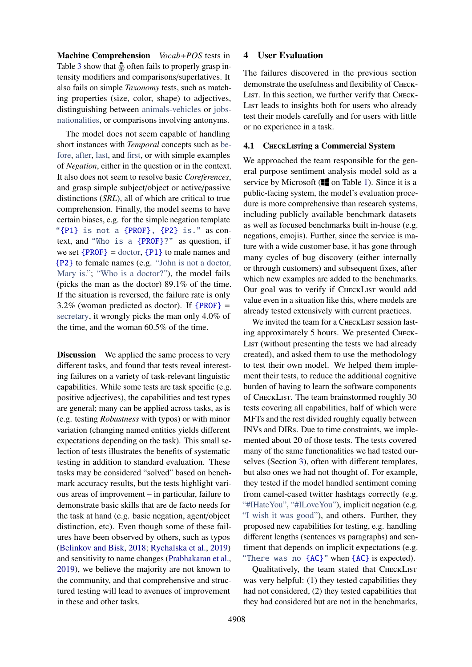Machine Comprehension *Vocab*+*POS* tests in Table [3](#page-5-0) show that  $\hat{\Phi}$  often fails to properly grasp intensity modifiers and comparisons/superlatives. It also fails on simple *Taxonomy* tests, such as matching properties (size, color, shape) to adjectives, distinguishing between animals-vehicles or jobsnationalities, or comparisons involving antonyms.

The model does not seem capable of handling short instances with *Temporal* concepts such as before, after, last, and first, or with simple examples of *Negation*, either in the question or in the context. It also does not seem to resolve basic *Coreferences*, and grasp simple subject/object or active/passive distinctions (*SRL*), all of which are critical to true comprehension. Finally, the model seems to have certain biases, e.g. for the simple negation template "{P1} is not a {PROF}, {P2} is." as context, and "Who is a {PROF}?" as question, if we set  ${PROF} =$  doctor,  ${P1}$  to male names and {P2} to female names (e.g. "John is not a doctor, Mary is."; "Who is a doctor?"), the model fails (picks the man as the doctor) 89.1% of the time. If the situation is reversed, the failure rate is only 3.2% (woman predicted as doctor). If  ${PROF} =$ secretary, it wrongly picks the man only 4.0% of the time, and the woman 60.5% of the time.

**Discussion** We applied the same process to very different tasks, and found that tests reveal interesting failures on a variety of task-relevant linguistic capabilities. While some tests are task specific (e.g. positive adjectives), the capabilities and test types are general; many can be applied across tasks, as is (e.g. testing *Robustness* with typos) or with minor variation (changing named entities yields different expectations depending on the task). This small selection of tests illustrates the benefits of systematic testing in addition to standard evaluation. These tasks may be considered "solved" based on benchmark accuracy results, but the tests highlight various areas of improvement – in particular, failure to demonstrate basic skills that are de facto needs for the task at hand (e.g. basic negation, agent/object distinction, etc). Even though some of these failures have been observed by others, such as typos [\(Belinkov and Bisk,](#page-9-4) [2018;](#page-9-4) [Rychalska et al.,](#page-9-5) [2019\)](#page-9-5) and sensitivity to name changes [\(Prabhakaran et al.,](#page-9-8) [2019\)](#page-9-8), we believe the majority are not known to the community, and that comprehensive and structured testing will lead to avenues of improvement in these and other tasks.

# 4 User Evaluation

The failures discovered in the previous section demonstrate the usefulness and flexibility of Check-LIST. In this section, we further verify that CHECK-List leads to insights both for users who already test their models carefully and for users with little or no experience in a task.

# 4.1 CHECKLISTIng a Commercial System

We approached the team responsible for the general purpose sentiment analysis model sold as a service by Microsoft  $\left( \blacksquare$  on Table [1\)](#page-3-1). Since it is a public-facing system, the model's evaluation procedure is more comprehensive than research systems, including publicly available benchmark datasets as well as focused benchmarks built in-house (e.g. negations, emojis). Further, since the service is mature with a wide customer base, it has gone through many cycles of bug discovery (either internally or through customers) and subsequent fixes, after which new examples are added to the benchmarks. Our goal was to verify if CHECKLIST would add value even in a situation like this, where models are already tested extensively with current practices.

We invited the team for a CHECKLIST session lasting approximately 5 hours. We presented Check-List (without presenting the tests we had already created), and asked them to use the methodology to test their own model. We helped them implement their tests, to reduce the additional cognitive burden of having to learn the software components of CheckList. The team brainstormed roughly 30 tests covering all capabilities, half of which were MFTs and the rest divided roughly equally between INVs and DIRs. Due to time constraints, we implemented about 20 of those tests. The tests covered many of the same functionalities we had tested ourselves (Section [3\)](#page-3-0), often with different templates, but also ones we had not thought of. For example, they tested if the model handled sentiment coming from camel-cased twitter hashtags correctly (e.g. "#IHateYou", "#ILoveYou"), implicit negation (e.g. "I wish it was good"), and others. Further, they proposed new capabilities for testing, e.g. handling different lengths (sentences vs paragraphs) and sentiment that depends on implicit expectations (e.g. "There was no {AC}" when {AC} is expected).

Qualitatively, the team stated that CHECKLIST was very helpful: (1) they tested capabilities they had not considered, (2) they tested capabilities that they had considered but are not in the benchmarks,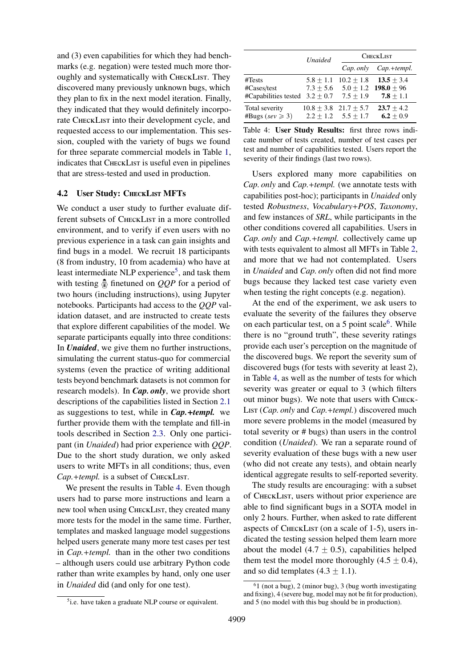and (3) even capabilities for which they had benchmarks (e.g. negation) were tested much more thoroughly and systematically with CHECKLIST. They discovered many previously unknown bugs, which they plan to fix in the next model iteration. Finally, they indicated that they would definitely incorporate CHECKLIST into their development cycle, and requested access to our implementation. This session, coupled with the variety of bugs we found for three separate commercial models in Table [1,](#page-3-1) indicates that CHECKLIST is useful even in pipelines that are stress-tested and used in production.

#### 4.2 User Study: CHECKLIST MFTs

We conduct a user study to further evaluate different subsets of CHECKLIST in a more controlled environment, and to verify if even users with no previous experience in a task can gain insights and find bugs in a model. We recruit 18 participants (8 from industry, 10 from academia) who have at least intermediate NLP experience<sup>[5](#page-7-0)</sup>, and task them with testing  $\hat{\Phi}$  finetuned on *QQP* for a period of two hours (including instructions), using Jupyter notebooks. Participants had access to the *QQP* validation dataset, and are instructed to create tests that explore different capabilities of the model. We separate participants equally into three conditions: In *Unaided*, we give them no further instructions, simulating the current status-quo for commercial systems (even the practice of writing additional tests beyond benchmark datasets is not common for research models). In *Cap. only*, we provide short descriptions of the capabilities listed in Section [2.1](#page-1-1) as suggestions to test, while in *Cap.*+*templ.* we further provide them with the template and fill-in tools described in Section [2.3.](#page-2-1) Only one participant (in *Unaided*) had prior experience with *QQP*. Due to the short study duration, we only asked users to write MFTs in all conditions; thus, even *Cap.*+*templ.* is a subset of CheckList.

We present the results in Table [4.](#page-7-1) Even though users had to parse more instructions and learn a new tool when using CHECKLIST, they created many more tests for the model in the same time. Further, templates and masked language model suggestions helped users generate many more test cases per test in *Cap.*+*templ.* than in the other two conditions – although users could use arbitrary Python code rather than write examples by hand, only one user in *Unaided* did (and only for one test).

<span id="page-7-1"></span>

|                       | <b>Unaided</b> | <b>CHECKLIST</b>          |               |  |
|-----------------------|----------------|---------------------------|---------------|--|
|                       |                | Cap. only                 | $Cap.+templ.$ |  |
| #Tests                | $5.8 + 1.1$    | $10.2 + 1.8$              | $13.5 + 3.4$  |  |
| #Cases/test           | $7.3 + 5.6$    | $5.0 + 1.2$               | $198.0 + 96$  |  |
| #Capabilities tested  | $3.2 \pm 0.7$  | $7.5 + 1.9$               | $7.8 + 1.1$   |  |
| Total severity        |                | $10.8 + 3.8$ $21.7 + 5.7$ | $23.7 + 4.2$  |  |
| #Bugs (sev $\geq 3$ ) |                | $2.2 + 1.2$ $5.5 + 1.7$   | $6.2 + 0.9$   |  |

Table 4: User Study Results: first three rows indicate number of tests created, number of test cases per test and number of capabilities tested. Users report the severity of their findings (last two rows).

Users explored many more capabilities on *Cap. only* and *Cap.*+*templ.* (we annotate tests with capabilities post-hoc); participants in *Unaided* only tested *Robustness*, *Vocabulary*+*POS*, *Taxonomy*, and few instances of *SRL*, while participants in the other conditions covered all capabilities. Users in *Cap. only* and *Cap.*+*templ.* collectively came up with tests equivalent to almost all MFTs in Table [2,](#page-4-0) and more that we had not contemplated. Users in *Unaided* and *Cap. only* often did not find more bugs because they lacked test case variety even when testing the right concepts (e.g. negation).

At the end of the experiment, we ask users to evaluate the severity of the failures they observe on each particular test, on a 5 point scale $<sup>6</sup>$  $<sup>6</sup>$  $<sup>6</sup>$ . While</sup> there is no "ground truth", these severity ratings provide each user's perception on the magnitude of the discovered bugs. We report the severity sum of discovered bugs (for tests with severity at least 2), in Table [4,](#page-7-1) as well as the number of tests for which severity was greater or equal to 3 (which filters out minor bugs). We note that users with Check-List (*Cap. only* and *Cap.*+*templ.*) discovered much more severe problems in the model (measured by total severity or # bugs) than users in the control condition (*Unaided*). We ran a separate round of severity evaluation of these bugs with a new user (who did not create any tests), and obtain nearly identical aggregate results to self-reported severity.

The study results are encouraging: with a subset of CheckList, users without prior experience are able to find significant bugs in a SOTA model in only 2 hours. Further, when asked to rate different aspects of CHECKLIST (on a scale of 1-5), users indicated the testing session helped them learn more about the model (4.7  $\pm$  0.5), capabilities helped them test the model more thoroughly  $(4.5 \pm 0.4)$ , and so did templates  $(4.3 \pm 1.1)$ .

<span id="page-7-0"></span><sup>5</sup> i.e. have taken a graduate NLP course or equivalent.

<span id="page-7-2"></span> $61$  (not a bug), 2 (minor bug), 3 (bug worth investigating and fixing), 4 (severe bug, model may not be fit for production), and 5 (no model with this bug should be in production).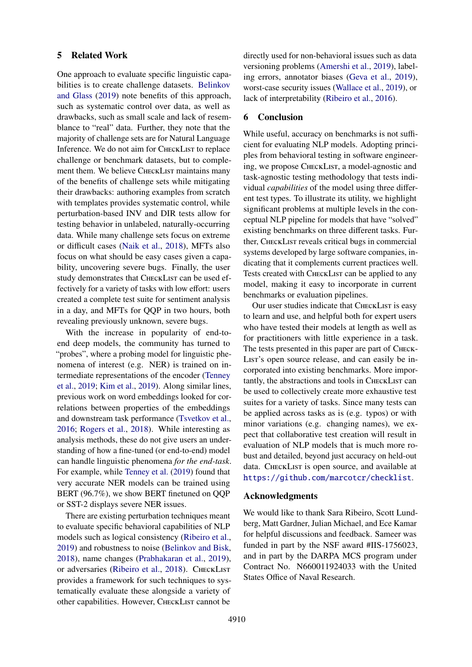### 5 Related Work

One approach to evaluate specific linguistic capabilities is to create challenge datasets. [Belinkov](#page-9-14) [and Glass](#page-9-14) [\(2019\)](#page-9-14) note benefits of this approach, such as systematic control over data, as well as drawbacks, such as small scale and lack of resemblance to "real" data. Further, they note that the majority of challenge sets are for Natural Language Inference. We do not aim for CHECKLIST to replace challenge or benchmark datasets, but to complement them. We believe CHECKLIST maintains many of the benefits of challenge sets while mitigating their drawbacks: authoring examples from scratch with templates provides systematic control, while perturbation-based INV and DIR tests allow for testing behavior in unlabeled, naturally-occurring data. While many challenge sets focus on extreme or difficult cases [\(Naik et al.,](#page-9-15) [2018\)](#page-9-15), MFTs also focus on what should be easy cases given a capability, uncovering severe bugs. Finally, the user study demonstrates that CHECKLIST can be used effectively for a variety of tasks with low effort: users created a complete test suite for sentiment analysis in a day, and MFTs for QQP in two hours, both revealing previously unknown, severe bugs.

With the increase in popularity of end-toend deep models, the community has turned to "probes", where a probing model for linguistic phenomena of interest (e.g. NER) is trained on intermediate representations of the encoder [\(Tenney](#page-9-16) [et al.,](#page-9-16) [2019;](#page-9-16) [Kim et al.,](#page-9-17) [2019\)](#page-9-17). Along similar lines, previous work on word embeddings looked for correlations between properties of the embeddings and downstream task performance [\(Tsvetkov et al.,](#page-10-4) [2016;](#page-10-4) [Rogers et al.,](#page-9-18) [2018\)](#page-9-18). While interesting as analysis methods, these do not give users an understanding of how a fine-tuned (or end-to-end) model can handle linguistic phenomena *for the end-task*. For example, while [Tenney et al.](#page-9-16) [\(2019\)](#page-9-16) found that very accurate NER models can be trained using BERT (96.7%), we show BERT finetuned on QQP or SST-2 displays severe NER issues.

There are existing perturbation techniques meant to evaluate specific behavioral capabilities of NLP models such as logical consistency [\(Ribeiro et al.,](#page-9-9) [2019\)](#page-9-9) and robustness to noise [\(Belinkov and Bisk,](#page-9-4) [2018\)](#page-9-4), name changes [\(Prabhakaran et al.,](#page-9-8) [2019\)](#page-9-8), or adversaries [\(Ribeiro et al.,](#page-9-6) [2018\)](#page-9-6). CHECKLIST provides a framework for such techniques to systematically evaluate these alongside a variety of other capabilities. However, CHECKLIST cannot be

directly used for non-behavioral issues such as data versioning problems [\(Amershi et al.,](#page-9-19) [2019\)](#page-9-19), labeling errors, annotator biases [\(Geva et al.,](#page-9-20) [2019\)](#page-9-20), worst-case security issues [\(Wallace et al.,](#page-10-5) [2019\)](#page-10-5), or lack of interpretability [\(Ribeiro et al.,](#page-9-10) [2016\)](#page-9-10).

### 6 Conclusion

While useful, accuracy on benchmarks is not sufficient for evaluating NLP models. Adopting principles from behavioral testing in software engineering, we propose CHECKLIST, a model-agnostic and task-agnostic testing methodology that tests individual *capabilities* of the model using three different test types. To illustrate its utility, we highlight significant problems at multiple levels in the conceptual NLP pipeline for models that have "solved" existing benchmarks on three different tasks. Further, CHECKLIST reveals critical bugs in commercial systems developed by large software companies, indicating that it complements current practices well. Tests created with CHECKLIST can be applied to any model, making it easy to incorporate in current benchmarks or evaluation pipelines.

Our user studies indicate that CHECKLIST is easy to learn and use, and helpful both for expert users who have tested their models at length as well as for practitioners with little experience in a task. The tests presented in this paper are part of Check-List's open source release, and can easily be incorporated into existing benchmarks. More importantly, the abstractions and tools in CHECKLIST can be used to collectively create more exhaustive test suites for a variety of tasks. Since many tests can be applied across tasks as is (e.g. typos) or with minor variations (e.g. changing names), we expect that collaborative test creation will result in evaluation of NLP models that is much more robust and detailed, beyond just accuracy on held-out data. CHECKLIST is open source, and available at <https://github.com/marcotcr/checklist>.

# Acknowledgments

We would like to thank Sara Ribeiro, Scott Lundberg, Matt Gardner, Julian Michael, and Ece Kamar for helpful discussions and feedback. Sameer was funded in part by the NSF award #IIS-1756023, and in part by the DARPA MCS program under Contract No. N660011924033 with the United States Office of Naval Research.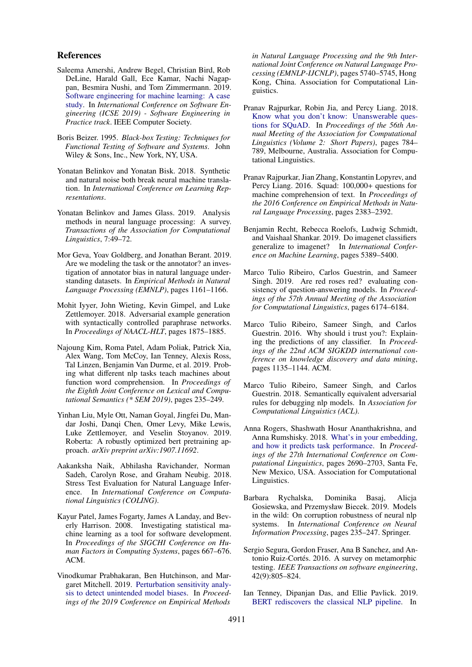#### References

- <span id="page-9-19"></span>Saleema Amershi, Andrew Begel, Christian Bird, Rob DeLine, Harald Gall, Ece Kamar, Nachi Nagappan, Besmira Nushi, and Tom Zimmermann. 2019. [Software engineering for machine learning: A case](https://www.microsoft.com/en-us/research/publication/software-engineering-for-machine-learning-a-case-study/) [study.](https://www.microsoft.com/en-us/research/publication/software-engineering-for-machine-learning-a-case-study/) In *International Conference on Software Engineering (ICSE 2019) - Software Engineering in Practice track*. IEEE Computer Society.
- <span id="page-9-11"></span>Boris Beizer. 1995. *Black-box Testing: Techniques for Functional Testing of Software and Systems*. John Wiley & Sons, Inc., New York, NY, USA.
- <span id="page-9-4"></span>Yonatan Belinkov and Yonatan Bisk. 2018. Synthetic and natural noise both break neural machine translation. In *International Conference on Learning Representations*.
- <span id="page-9-14"></span>Yonatan Belinkov and James Glass. 2019. Analysis methods in neural language processing: A survey. *Transactions of the Association for Computational Linguistics*, 7:49–72.
- <span id="page-9-20"></span>Mor Geva, Yoav Goldberg, and Jonathan Berant. 2019. Are we modeling the task or the annotator? an investigation of annotator bias in natural language understanding datasets. In *Empirical Methods in Natural Language Processing (EMNLP)*, pages 1161–1166.
- <span id="page-9-7"></span>Mohit Iyyer, John Wieting, Kevin Gimpel, and Luke Zettlemoyer. 2018. Adversarial example generation with syntactically controlled paraphrase networks. In *Proceedings of NAACL-HLT*, pages 1875–1885.
- <span id="page-9-17"></span>Najoung Kim, Roma Patel, Adam Poliak, Patrick Xia, Alex Wang, Tom McCoy, Ian Tenney, Alexis Ross, Tal Linzen, Benjamin Van Durme, et al. 2019. Probing what different nlp tasks teach machines about function word comprehension. In *Proceedings of the Eighth Joint Conference on Lexical and Computational Semantics (\* SEM 2019)*, pages 235–249.
- <span id="page-9-13"></span>Yinhan Liu, Myle Ott, Naman Goyal, Jingfei Du, Mandar Joshi, Danqi Chen, Omer Levy, Mike Lewis, Luke Zettlemoyer, and Veselin Stoyanov. 2019. Roberta: A robustly optimized bert pretraining approach. *arXiv preprint arXiv:1907.11692*.
- <span id="page-9-15"></span>Aakanksha Naik, Abhilasha Ravichander, Norman Sadeh, Carolyn Rose, and Graham Neubig. 2018. Stress Test Evaluation for Natural Language Inference. In *International Conference on Computational Linguistics (COLING)*.
- <span id="page-9-2"></span>Kayur Patel, James Fogarty, James A Landay, and Beverly Harrison. 2008. Investigating statistical machine learning as a tool for software development. In *Proceedings of the SIGCHI Conference on Human Factors in Computing Systems*, pages 667–676. ACM.
- <span id="page-9-8"></span>Vinodkumar Prabhakaran, Ben Hutchinson, and Margaret Mitchell. 2019. [Perturbation sensitivity analy](https://doi.org/10.18653/v1/D19-1578)[sis to detect unintended model biases.](https://doi.org/10.18653/v1/D19-1578) In *Proceedings of the 2019 Conference on Empirical Methods*

*in Natural Language Processing and the 9th International Joint Conference on Natural Language Processing (EMNLP-IJCNLP)*, pages 5740–5745, Hong Kong, China. Association for Computational Linguistics.

- <span id="page-9-1"></span>Pranav Rajpurkar, Robin Jia, and Percy Liang. 2018. [Know what you don't know: Unanswerable ques](https://doi.org/10.18653/v1/P18-2124)[tions for SQuAD.](https://doi.org/10.18653/v1/P18-2124) In *Proceedings of the 56th Annual Meeting of the Association for Computational Linguistics (Volume 2: Short Papers)*, pages 784– 789, Melbourne, Australia. Association for Computational Linguistics.
- <span id="page-9-0"></span>Pranav Rajpurkar, Jian Zhang, Konstantin Lopyrev, and Percy Liang. 2016. Squad: 100,000+ questions for machine comprehension of text. In *Proceedings of the 2016 Conference on Empirical Methods in Natural Language Processing*, pages 2383–2392.
- <span id="page-9-3"></span>Benjamin Recht, Rebecca Roelofs, Ludwig Schmidt, and Vaishaal Shankar. 2019. Do imagenet classifiers generalize to imagenet? In *International Conference on Machine Learning*, pages 5389–5400.
- <span id="page-9-9"></span>Marco Tulio Ribeiro, Carlos Guestrin, and Sameer Singh. 2019. Are red roses red? evaluating consistency of question-answering models. In *Proceedings of the 57th Annual Meeting of the Association for Computational Linguistics*, pages 6174–6184.
- <span id="page-9-10"></span>Marco Tulio Ribeiro, Sameer Singh, and Carlos Guestrin. 2016. Why should i trust you?: Explaining the predictions of any classifier. In *Proceedings of the 22nd ACM SIGKDD international conference on knowledge discovery and data mining*, pages 1135–1144. ACM.
- <span id="page-9-6"></span>Marco Tulio Ribeiro, Sameer Singh, and Carlos Guestrin. 2018. Semantically equivalent adversarial rules for debugging nlp models. In *Association for Computational Linguistics (ACL)*.
- <span id="page-9-18"></span>Anna Rogers, Shashwath Hosur Ananthakrishna, and Anna Rumshisky. 2018. [What's in your embedding,](https://www.aclweb.org/anthology/C18-1228) [and how it predicts task performance.](https://www.aclweb.org/anthology/C18-1228) In *Proceedings of the 27th International Conference on Computational Linguistics*, pages 2690–2703, Santa Fe, New Mexico, USA. Association for Computational Linguistics.
- <span id="page-9-5"></span>Barbara Rychalska, Dominika Basaj, Alicja Gosiewska, and Przemysław Biecek. 2019. Models in the wild: On corruption robustness of neural nlp systems. In *International Conference on Neural Information Processing*, pages 235–247. Springer.
- <span id="page-9-12"></span>Sergio Segura, Gordon Fraser, Ana B Sanchez, and Antonio Ruiz-Cortés. 2016. A survey on metamorphic testing. *IEEE Transactions on software engineering*, 42(9):805–824.
- <span id="page-9-16"></span>Ian Tenney, Dipanjan Das, and Ellie Pavlick. 2019. [BERT rediscovers the classical NLP pipeline.](https://doi.org/10.18653/v1/P19-1452) In